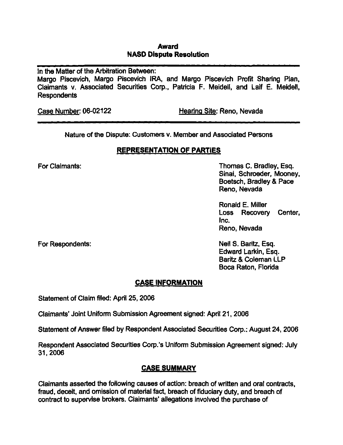#### Award NASD Dispute Resolution

In the Matter of the Arbitration Between:

Margo Piscevich, Margo Piscevich IFRA, and Margo Piscevich Profit Sharing Plan, Claimants v. Associated Securities Corp., Patricia F. Meideil, and Laif E. Meidell, **Respondents** 

Case Number: 06-02122 Hearing Site: Reno, Nevada

Nature of the Dispute: Customers v. Member and Associated Persons

# REPRESENTATION OF PARTIES

For Claimants: Thomas C. Bradley, Esq. Sinai, Schroeder, Mooney, Boetsch, Bradley & Pace Reno, Nevada

> Ronald E. Miller Loss Recovery Center, Inc. Reno, Nevada

For Respondents: Neil S. Baritz, Esq. Edward Larkin, Esq. Baritz & Coleman LLP Boca Raton, Florida

# CASE INFORMATION

Statement of Claim filed: April 25, 2006

Claimants' Joint Unifomn Submission Agreement signed: April 21, 2006

Statement of Answer filed by Respondent Associated Securities Corp.: August 24, 2006

Respondent Associated Securities Corp.'s Uniform Submission Agreement signed: July 31,2006

# CASE SUMMARY

Claimants asserted the following causes of action: breach of written and oral contracts, fraud, deceit, and omission of material fact, breach of fiduciary duty, and breach of contract to supervise brokers. Claimants' allegations involved the purchase of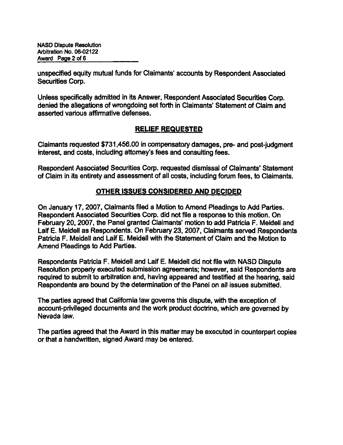NASO Oispute Resolution Arbitration No. 06-02122 Award Page 2 of 6

unspecified equity mutual funds for Claimants' accounts by Respondent Associated Securities Corp.

Unless specifically admitted in its Answer, Respondent Associated Securities Corp. denied the allegations of wrongdoing set forth in Claimants' Statement of Claim and asserted various affirmative defenses.

## RELIEF REQUESTED

Claimants requested \$731,456.00 in compensatory damages, pre- and post-judgment interest, and costs, including attorney's fees and consulting fees.

Respondent Associated Securities Corp. requested dismissal of Claimants' Statement of Claim in its entirety and assessment of all costs, including forum fees, to Claimants.

## OTHER ISSUES CONSIDERED AND DECIDED

On January 17,2007, Claimants filed a Motion to Amend Pleadings to Add Parties. Respondent Associated Securities Corp. did not file a response to this motion. On Febmary 20,2007, the Panel granted Claimants' motion to add Patricia F. Meidell and Laif E. Meidell as Respondents. On February 23,2007, Claimants served Respondents Patricia F. Meidell and Laif E. Meidell with the Statement of Claim and the Motion to Amend Pleadings to Add Parties.

Respondents Patricia F. Meidell and Laif E. Meidell did not file with NASD Dispute Resolution properiy executed submission agreements; however, said Respondents are required to submit to arbitration and, having appeared and testified at the hearing, said Respondents are bound by the determination of the Panel on all issues submitted.

The parties agreed that California law governs this dispute, with the exception of account-privileged documents and the work product doctrine, which are governed by Nevada law.

The parties agreed that the Award in this matter may be executed in counterpart copies or that a handwritten, signed Award may be entered.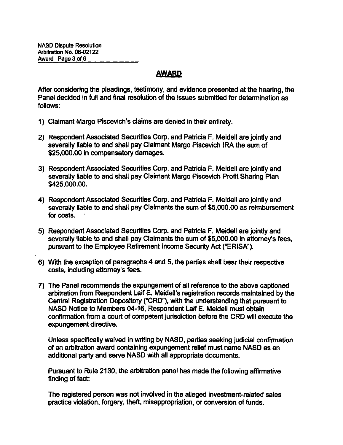## AWARD

After considering the pleadings, testimony, and evidence presented at the hearing, the Panel decided in full and final resolution of the issues submitted for detemnination as follows:

- 1) Claimant Margo Piscevich's claims are denied in their entirety.
- 2) Respondent Associated Securities Corp. and Patricia F. Meidell are jointiy and severally liable to and shall pay Claimant Margo Piscevich IRA the sum of \$25,000.00 in compensatory damages.
- 3) Respondent Associated Securities Corp. and Patricia F. Meidell are jointiy and severally liable to and shall pay Claimant Margo Piscevich Profit Sharing Plan \$425,000.00.
- 4) Respondent Associated Securities Corp. and Patricia F. Meidell are jointiy and severally liable to and shall pay Claimants the sum of \$5,000.00 as reimbursement for costs.
- 5) Respondent Associated Securities Corp. and Patricia F. Meidell are jointly and severally liable to and shall pay Claimants the sum of \$5,000.00 in attorney's fees, pursuant to the Employee Retirement Income Security Act ("ERISA").
- 6) With the exception of paragraphs 4 and 5, the parties shall bear their respective costs, including attorney's fees.
- 7) The Panel recommends the expungement of all reference to the above captioned arbitration from Respondent Laif E. Meideil's registration records maintained by the Central Registration Depository ("CRD"), with the understanding that pursuant to NASD Notice to Members 04-16, Respondent Laif E. Meidell must obtain confirmation from a court of competent jurisdiction before the CRD will execute the expungement directive.

Unless specifically waived in writing by NASD, parties seeking judicial confirmation of an arbitration award containing expungement relief must name NASD as an additional party and serve NASD with all appropriate documents.

Pursuant to Rule 2130, the arbitration panel has made the following affirmative finding of fact:

The registered person was not involved in the alleged investment-related sales practice violation, forgery, theft, misappropriation, or conversion of funds.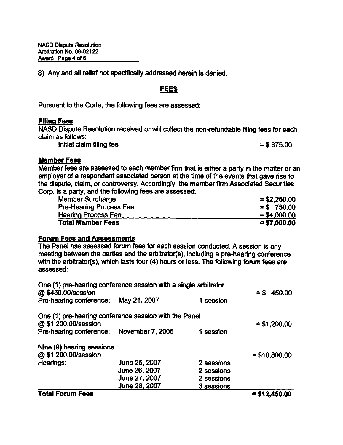NASD Oispute Resolution Arbitration No. 06-02122 Award Page 4 of 6

8) Any and all relief not specifically addressed herein is denied.

## FEES

Pursuant to the Code, the following fees are assessed:

#### Filing Fees

NASD Dispute Resolution received or will collect the non-refundable filing fees for each claim as follows:

Initial claim filing fee  $=$  \$ 375.00

#### Member Fees

Member fees are assessed to each member firm that is either a party in the matter or an employer of a respondent associated person at the time of the events that gave rise to the dispute, claim, or controversy. Accordingly, the member firm Associated Securities Corp. is a party, and the following fees are assessed:

| <b>Member Surcharge</b>        | $= $2,250.00$ |
|--------------------------------|---------------|
| <b>Pre-Hearing Process Fee</b> | $=$ \$750.00  |
| <b>Hearing Process Fee</b>     | $= $4,000,00$ |
| <b>Total Member Fees</b>       | $= $7,000.00$ |

#### Forum Fees and Assessments

The Panel has assessed forum fees for each session conducted. A session is any meeting between the parties and the arbitrator(s), including a pre-hearing conference with the arbitrator(s), which lasts four (4) hours or less. The following forum fees are assessed:

| One (1) pre-hearing conference session with a single arbitrator<br>@\$450.00/session |               |            | 450.00<br>$=$ \$ |
|--------------------------------------------------------------------------------------|---------------|------------|------------------|
| Pre-hearing conference:                                                              | May 21, 2007  | 1 session  |                  |
| One (1) pre-hearing conference session with the Panel<br>@ \$1,200.00/session        |               |            | $=$ \$1,200.00   |
| Pre-hearing conference: November 7, 2006                                             |               | 1 session  |                  |
| Nine (9) hearing sessions                                                            |               |            |                  |
| @\$1,200.00/session                                                                  |               |            | $= $10,800.00$   |
| Hearings:                                                                            | June 25, 2007 | 2 sessions |                  |
|                                                                                      | June 26, 2007 | 2 sessions |                  |
|                                                                                      | June 27, 2007 | 2 sessions |                  |
|                                                                                      | June 28, 2007 | 3 sessions |                  |

#### $Total$  Forum Fees  $= $12,450.00$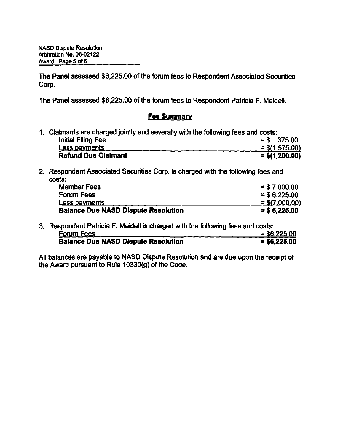The Panel assessed \$6,225.00 of the forum fees to Respondent Associated Securities Corp.

The Panel assessed \$6,225.00 of the forum fees to Respondent Patricia F. Meidell.

#### **Fee Summary**

| 1. Claimants are charged jointly and severally with the following fees and costs: |  |                  |
|-----------------------------------------------------------------------------------|--|------------------|
| Initial Filing Fee                                                                |  | $=$ \$ 375.00    |
| Less payments                                                                     |  | $=$ \$(1,575.00) |
| <b>Refund Due Claimant</b>                                                        |  | $=$ \$(1,200.00) |

2. Respondent Associated Securities Corp. is charged with the following fees and costs:

| <b>Member Fees</b>                         | $=$ \$7,000.00   |
|--------------------------------------------|------------------|
| <b>Forum Fees</b>                          | $=$ \$6.225.00   |
| Less payments                              | $=$ \$(7,000.00) |
| <b>Balance Due NASD Dispute Resolution</b> | $=$ \$ 6.225.00  |

3. Respondent Patricia F. Meidell is charged with the following fees and costs: Forum Fees  $= $6,225.00$ <br>Balance Due NASD Dispute Resolution  $= $6,225.00$ Balance Due NASD Dispute Resolution

All balances are payable to NASD Dispute Resolution and are due upon the receipt of the Award pursuant to Rule 10330(g) of the Code.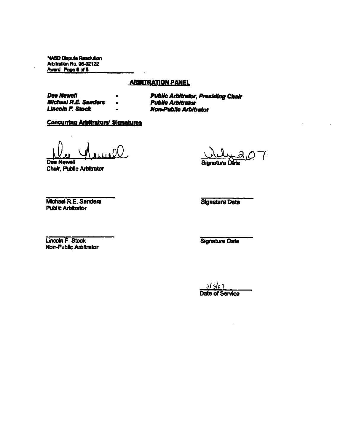**NASD Dispute Resolution** Arbitration No. 06-02122 Award Page 6 of 6

#### **ARBITRATION PANEL**

**Dee Newell Michael R.E. Sanders Lincoln F. Stock** 

**Public Arbitrator, Presiding Chair Public Arbitrator Non-Public Arbitrator** 

#### **Concurring Arbitrators' Signatures**

Dee Newell Chair, Public Arbitrator

Sionature D

Michael R.E. Sanders **Public Arbitrator** 

**Signature Date** 

Lincoin F. Stock Non-Public Arbitrator

**Signature Date** 

 $713/c7$ Date of Service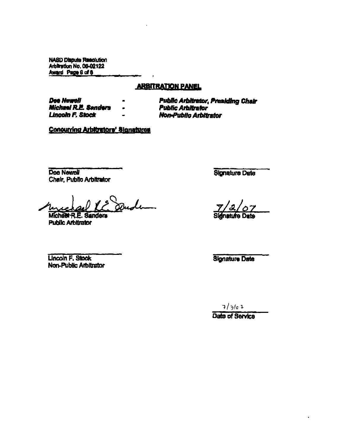**NASD Dispute Reactution** Arbitration No. 06-02122 Award Page 6 of 6

#### **ARBITRATION PANEL**

Dee Newell **Michael R.E. Senders Lincoln F. Stock** 

**Public Arbitrator, Presiding Chair Public Arbitrator** Non-Public Arbitrator

**Concurring Arbitrators' Signatures** 

Dee Newell Chair, Public Arbitrator

 $\boldsymbol{I}$ 

Michael R.E. Sanders **Public Arbitrator** 

**Lincoln F. Stock** Non-Public Arbitrator **Signature Date** 

**Sidnature Date** 

**Signature Date** 

 $7/3/e$  1

Date of Service